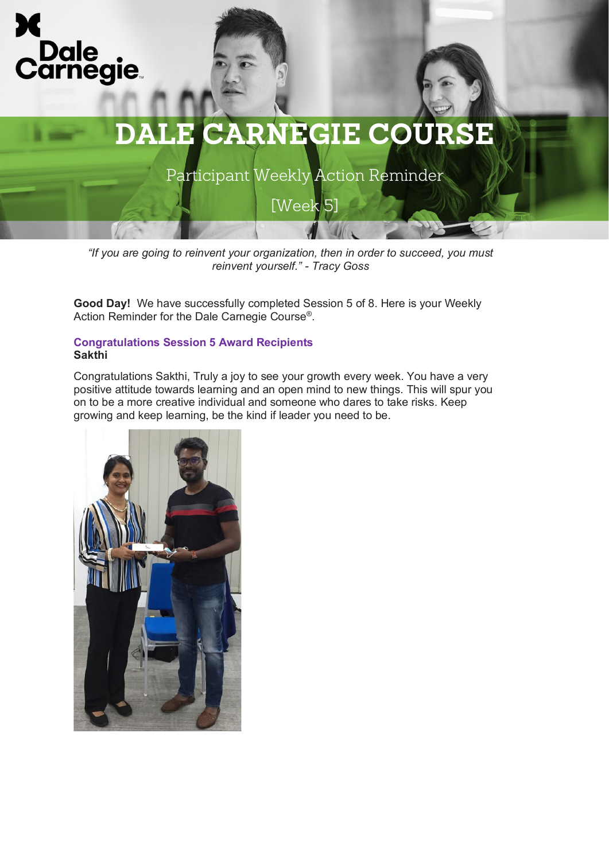

Participant Weekly Action Reminder

[Week 5]

*"If you are going to reinvent your organization, then in order to succeed, you must reinvent yourself." - Tracy Goss*

**Good Day!** We have successfully completed Session 5 of 8. Here is your Weekly Action Reminder for the Dale Carnegie Course®.

#### **Congratulations Session 5 Award Recipients Sakthi**

Congratulations Sakthi, Truly a joy to see your growth every week. You have a very positive attitude towards learning and an open mind to new things. This will spur you on to be a more creative individual and someone who dares to take risks. Keep growing and keep learning, be the kind if leader you need to be.

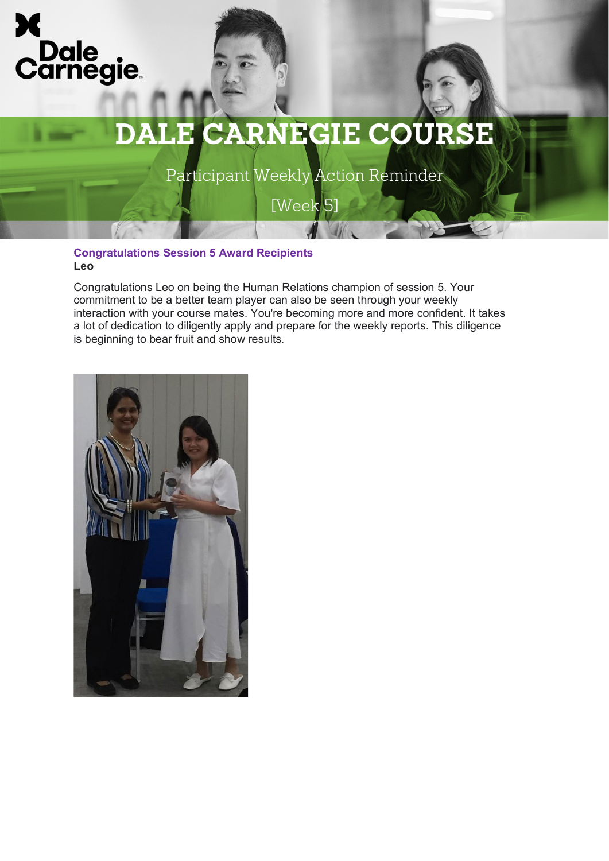



Participant Weekly Action Reminder

[Week 5]

## **Congratulations Session 5 Award Recipients Leo**

Congratulations Leo on being the Human Relations champion of session 5. Your commitment to be a better team player can also be seen through your weekly interaction with your course mates. You're becoming more and more confident. It takes a lot of dedication to diligently apply and prepare for the weekly reports. This diligence is beginning to bear fruit and show results.

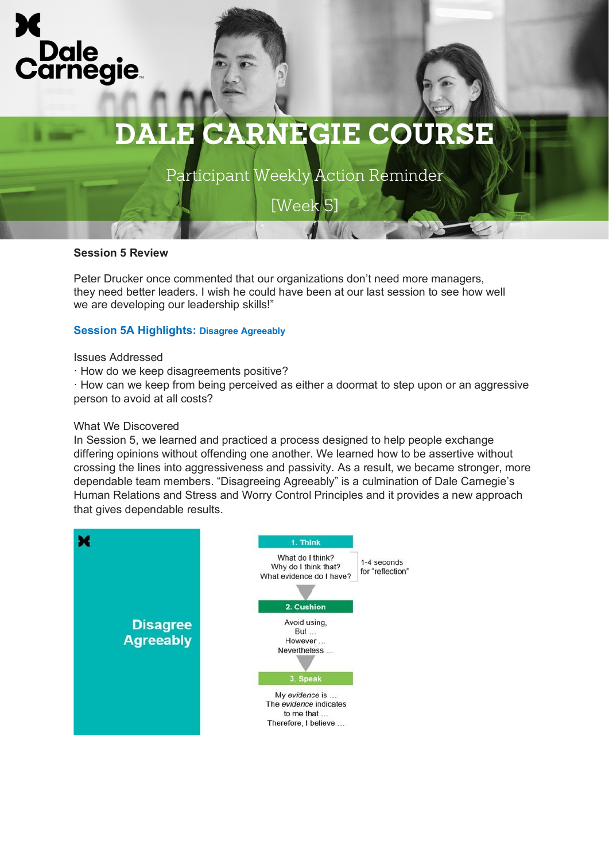

Participant Weekly Action Reminder

[Week 5]

## **Session 5 Review**

Peter Drucker once commented that our organizations don't need more managers, they need better leaders. I wish he could have been at our last session to see how well we are developing our leadership skills!"

## **Session 5A Highlights: Disagree Agreeably**

#### Issues Addressed

· How do we keep disagreements positive?

· How can we keep from being perceived as either a doormat to step upon or an aggressive person to avoid at all costs?

### What We Discovered

In Session 5, we learned and practiced a process designed to help people exchange differing opinions without offending one another. We learned how to be assertive without crossing the lines into aggressiveness and passivity. As a result, we became stronger, more dependable team members. "Disagreeing Agreeably" is a culmination of Dale Carnegie's Human Relations and Stress and Worry Control Principles and it provides a new approach that gives dependable results.

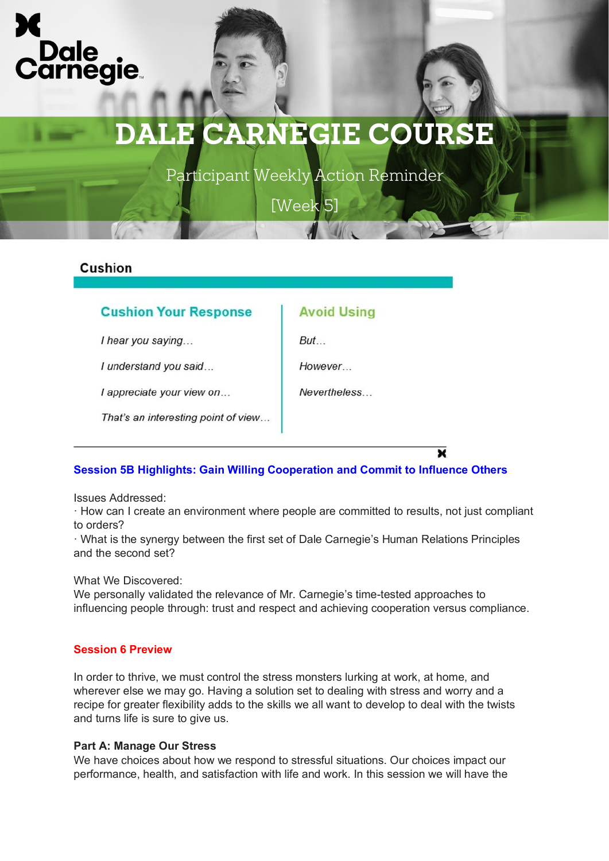



Participant Weekly Action Reminder

[Week 5]

**Avoid Using** 

 $But...$ 

However

**Nevertheless** 

## Cushion

## **Cushion Your Response**

I hear you saying...

I understand you said...

I appreciate your view on...

That's an interesting point of view...

**Session 5B Highlights: Gain Willing Cooperation and Commit to Influence Others**

Issues Addressed:

· How can I create an environment where people are committed to results, not just compliant to orders?

· What is the synergy between the first set of Dale Carnegie's Human Relations Principles and the second set?

What We Discovered:

We personally validated the relevance of Mr. Carnegie's time-tested approaches to influencing people through: trust and respect and achieving cooperation versus compliance.

## **Session 6 Preview**

In order to thrive, we must control the stress monsters lurking at work, at home, and wherever else we may go. Having a solution set to dealing with stress and worry and a recipe for greater flexibility adds to the skills we all want to develop to deal with the twists and turns life is sure to give us.

## **Part A: Manage Our Stress**

We have choices about how we respond to stressful situations. Our choices impact our performance, health, and satisfaction with life and work. In this session we will have the

×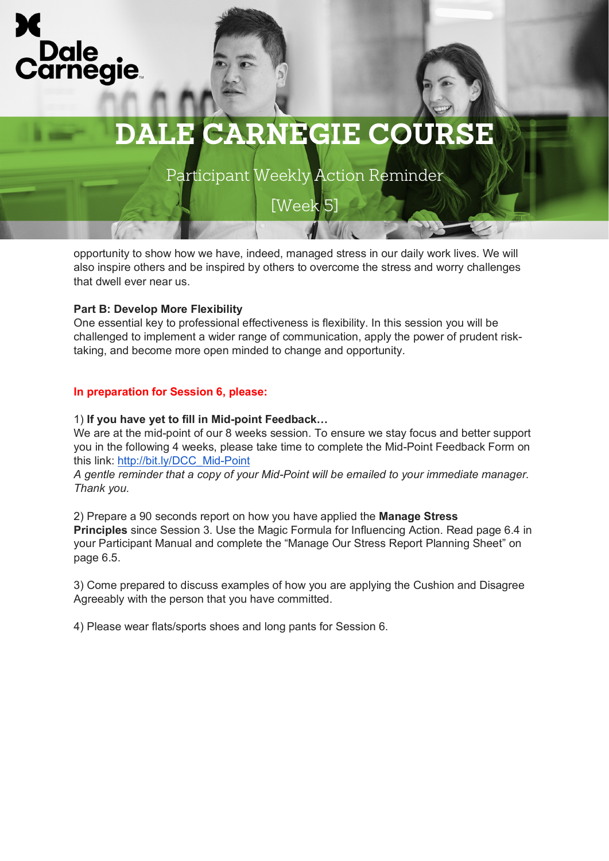

Participant Weekly Action Reminder

[Week 5]

opportunity to show how we have, indeed, managed stress in our daily work lives. We will also inspire others and be inspired by others to overcome the stress and worry challenges that dwell ever near us.

## **Part B: Develop More Flexibility**

One essential key to professional effectiveness is flexibility. In this session you will be challenged to implement a wider range of communication, apply the power of prudent risktaking, and become more open minded to change and opportunity.

## **In preparation for Session 6, please:**

## 1) **If you have yet to fill in Mid-point Feedback…**

We are at the mid-point of our 8 weeks session. To ensure we stay focus and better support you in the following 4 weeks, please take time to complete the Mid-Point Feedback Form on this link: [http://bit.ly/DCC\\_Mid-Point](http://bit.ly/DCC_Mid-Point)

*A gentle reminder that a copy of your Mid-Point will be emailed to your immediate manager. Thank you.*

2) Prepare a 90 seconds report on how you have applied the **Manage Stress Principles** since Session 3. Use the Magic Formula for Influencing Action. Read page 6.4 in your Participant Manual and complete the "Manage Our Stress Report Planning Sheet" on page 6.5.

3) Come prepared to discuss examples of how you are applying the Cushion and Disagree Agreeably with the person that you have committed.

4) Please wear flats/sports shoes and long pants for Session 6.